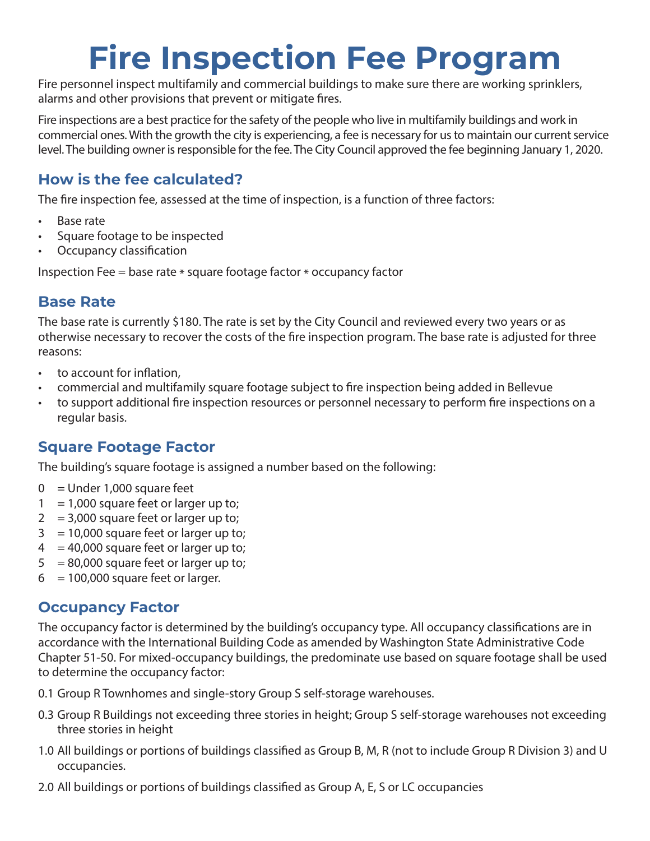# **Fire Inspection Fee Program**

Fire personnel inspect multifamily and commercial buildings to make sure there are working sprinklers, alarms and other provisions that prevent or mitigate fires.

Fire inspections are a best practice for the safety of the people who live in multifamily buildings and work in commercial ones. With the growth the city is experiencing, a fee is necessary for us to maintain our current service level. The building owner is responsible for the fee. The City Council approved the fee beginning January 1, 2020.

# **How is the fee calculated?**

The fire inspection fee, assessed at the time of inspection, is a function of three factors:

- Base rate
- Square footage to be inspected
- Occupancy classification

Inspection Fee = base rate \* square footage factor \* occupancy factor

# **Base Rate**

The base rate is currently \$180. The rate is set by the City Council and reviewed every two years or as otherwise necessary to recover the costs of the fire inspection program. The base rate is adjusted for three reasons:

- to account for inflation.
- commercial and multifamily square footage subject to fire inspection being added in Bellevue
- to support additional fire inspection resources or personnel necessary to perform fire inspections on a regular basis.

### **Square Footage Factor**

The building's square footage is assigned a number based on the following:

- $0 =$  Under 1,000 square feet
- $1 = 1,000$  square feet or larger up to;
- $2 = 3,000$  square feet or larger up to;
- $3 = 10,000$  square feet or larger up to;
- $4 = 40,000$  square feet or larger up to;
- $5 = 80,000$  square feet or larger up to;
- $6 = 100,000$  square feet or larger.

### **Occupancy Factor**

The occupancy factor is determined by the building's occupancy type. All occupancy classifications are in accordance with the International Building Code as amended by Washington State Administrative Code Chapter 51-50. For mixed-occupancy buildings, the predominate use based on square footage shall be used to determine the occupancy factor:

0.1 Group R Townhomes and single-story Group S self-storage warehouses.

- 0.3 Group R Buildings not exceeding three stories in height; Group S self-storage warehouses not exceeding three stories in height
- 1.0 All buildings or portions of buildings classified as Group B, M, R (not to include Group R Division 3) and U occupancies.
- 2.0 All buildings or portions of buildings classified as Group A, E, S or LC occupancies